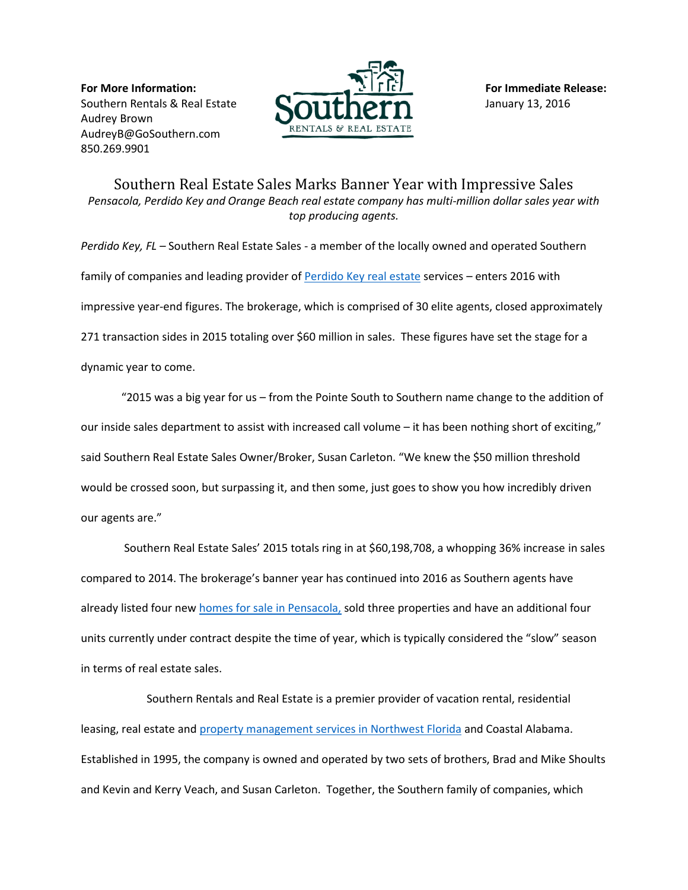**For More Information: For Immediate Release:** Southern Rentals & Real Estate  $\blacksquare$   $\blacksquare$   $\blacksquare$   $\blacksquare$   $\blacksquare$   $\blacksquare$   $\blacksquare$   $\blacksquare$   $\blacksquare$   $\blacksquare$   $\blacksquare$   $\blacksquare$   $\blacksquare$   $\blacksquare$   $\blacksquare$   $\blacksquare$   $\blacksquare$   $\blacksquare$   $\blacksquare$   $\blacksquare$   $\blacksquare$   $\blacksquare$   $\blacksquare$   $\blacksquare$   $\blacksquare$   $\blacksquare$   $\blacksquare$   $\$ Audrey Brown [AudreyB@GoSouthern.com](mailto:AudreyB@GoSouthern.com) 850.269.9901



Southern Real Estate Sales Marks Banner Year with Impressive Sales *Pensacola, Perdido Key and Orange Beach real estate company has multi-million dollar sales year with top producing agents.*

*Perdido Key, FL –* Southern Real Estate Sales - a member of the locally owned and operated Southern family of companies and leading provider of [Perdido Key real estate](http://www.southernrealestatesales.com/) services - enters 2016 with impressive year-end figures. The brokerage, which is comprised of 30 elite agents, closed approximately 271 transaction sides in 2015 totaling over \$60 million in sales. These figures have set the stage for a dynamic year to come.

"2015 was a big year for us – from the Pointe South to Southern name change to the addition of our inside sales department to assist with increased call volume – it has been nothing short of exciting," said Southern Real Estate Sales Owner/Broker, Susan Carleton. "We knew the \$50 million threshold would be crossed soon, but surpassing it, and then some, just goes to show you how incredibly driven our agents are."

Southern Real Estate Sales' 2015 totals ring in at \$60,198,708, a whopping 36% increase in sales compared to 2014. The brokerage's banner year has continued into 2016 as Southern agents have already listed four new [homes for sale in Pensacola,](http://www.southernrealestatesales.com/search-mls/) sold three properties and have an additional four units currently under contract despite the time of year, which is typically considered the "slow" season in terms of real estate sales.

Southern Rentals and Real Estate is a premier provider of vacation rental, residential leasing, real estate an[d property management services in Northwest Florida](http://www.gosouthern.com/vacation-rental-property-management/) and Coastal Alabama. Established in 1995, the company is owned and operated by two sets of brothers, Brad and Mike Shoults and Kevin and Kerry Veach, and Susan Carleton. Together, the Southern family of companies, which